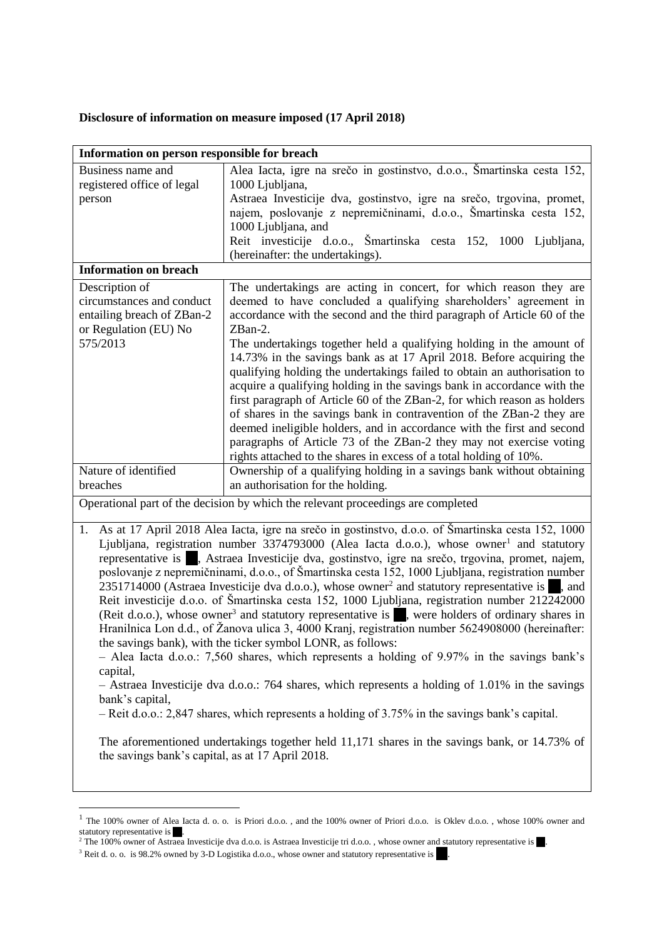## **Disclosure of information on measure imposed (17 April 2018)**

| Information on person responsible for breach                                                                                                                                                                                                                                                                                                                                                                                                                                                                                                                                                                                                                                                                                                                                                                                                                                                                                                                                                                                                                                                                                                                                                                                                                                                                                                                                                                                  |                                                                                                                                                                                                                                                                                                                                                                                                                                                                                                                                                                                                                                                                                 |
|-------------------------------------------------------------------------------------------------------------------------------------------------------------------------------------------------------------------------------------------------------------------------------------------------------------------------------------------------------------------------------------------------------------------------------------------------------------------------------------------------------------------------------------------------------------------------------------------------------------------------------------------------------------------------------------------------------------------------------------------------------------------------------------------------------------------------------------------------------------------------------------------------------------------------------------------------------------------------------------------------------------------------------------------------------------------------------------------------------------------------------------------------------------------------------------------------------------------------------------------------------------------------------------------------------------------------------------------------------------------------------------------------------------------------------|---------------------------------------------------------------------------------------------------------------------------------------------------------------------------------------------------------------------------------------------------------------------------------------------------------------------------------------------------------------------------------------------------------------------------------------------------------------------------------------------------------------------------------------------------------------------------------------------------------------------------------------------------------------------------------|
| Business name and<br>registered office of legal<br>person                                                                                                                                                                                                                                                                                                                                                                                                                                                                                                                                                                                                                                                                                                                                                                                                                                                                                                                                                                                                                                                                                                                                                                                                                                                                                                                                                                     | Alea Iacta, igre na srečo in gostinstvo, d.o.o., Šmartinska cesta 152,<br>1000 Ljubljana,<br>Astraea Investicije dva, gostinstvo, igre na srečo, trgovina, promet,<br>najem, poslovanje z nepremičninami, d.o.o., Šmartinska cesta 152,<br>1000 Ljubljana, and                                                                                                                                                                                                                                                                                                                                                                                                                  |
|                                                                                                                                                                                                                                                                                                                                                                                                                                                                                                                                                                                                                                                                                                                                                                                                                                                                                                                                                                                                                                                                                                                                                                                                                                                                                                                                                                                                                               | Reit investicije d.o.o., Šmartinska cesta 152, 1000 Ljubljana,                                                                                                                                                                                                                                                                                                                                                                                                                                                                                                                                                                                                                  |
| <b>Information on breach</b>                                                                                                                                                                                                                                                                                                                                                                                                                                                                                                                                                                                                                                                                                                                                                                                                                                                                                                                                                                                                                                                                                                                                                                                                                                                                                                                                                                                                  | (hereinafter: the undertakings).                                                                                                                                                                                                                                                                                                                                                                                                                                                                                                                                                                                                                                                |
|                                                                                                                                                                                                                                                                                                                                                                                                                                                                                                                                                                                                                                                                                                                                                                                                                                                                                                                                                                                                                                                                                                                                                                                                                                                                                                                                                                                                                               |                                                                                                                                                                                                                                                                                                                                                                                                                                                                                                                                                                                                                                                                                 |
| Description of<br>circumstances and conduct<br>entailing breach of ZBan-2<br>or Regulation (EU) No                                                                                                                                                                                                                                                                                                                                                                                                                                                                                                                                                                                                                                                                                                                                                                                                                                                                                                                                                                                                                                                                                                                                                                                                                                                                                                                            | The undertakings are acting in concert, for which reason they are<br>deemed to have concluded a qualifying shareholders' agreement in<br>accordance with the second and the third paragraph of Article 60 of the<br>ZBan-2.                                                                                                                                                                                                                                                                                                                                                                                                                                                     |
| 575/2013                                                                                                                                                                                                                                                                                                                                                                                                                                                                                                                                                                                                                                                                                                                                                                                                                                                                                                                                                                                                                                                                                                                                                                                                                                                                                                                                                                                                                      | The undertakings together held a qualifying holding in the amount of<br>14.73% in the savings bank as at 17 April 2018. Before acquiring the<br>qualifying holding the undertakings failed to obtain an authorisation to<br>acquire a qualifying holding in the savings bank in accordance with the<br>first paragraph of Article 60 of the ZBan-2, for which reason as holders<br>of shares in the savings bank in contravention of the ZBan-2 they are<br>deemed ineligible holders, and in accordance with the first and second<br>paragraphs of Article 73 of the ZBan-2 they may not exercise voting<br>rights attached to the shares in excess of a total holding of 10%. |
| Nature of identified                                                                                                                                                                                                                                                                                                                                                                                                                                                                                                                                                                                                                                                                                                                                                                                                                                                                                                                                                                                                                                                                                                                                                                                                                                                                                                                                                                                                          | Ownership of a qualifying holding in a savings bank without obtaining                                                                                                                                                                                                                                                                                                                                                                                                                                                                                                                                                                                                           |
| breaches                                                                                                                                                                                                                                                                                                                                                                                                                                                                                                                                                                                                                                                                                                                                                                                                                                                                                                                                                                                                                                                                                                                                                                                                                                                                                                                                                                                                                      | an authorisation for the holding.                                                                                                                                                                                                                                                                                                                                                                                                                                                                                                                                                                                                                                               |
| Operational part of the decision by which the relevant proceedings are completed                                                                                                                                                                                                                                                                                                                                                                                                                                                                                                                                                                                                                                                                                                                                                                                                                                                                                                                                                                                                                                                                                                                                                                                                                                                                                                                                              |                                                                                                                                                                                                                                                                                                                                                                                                                                                                                                                                                                                                                                                                                 |
| As at 17 April 2018 Alea Iacta, igre na srečo in gostinstvo, d.o.o. of Šmartinska cesta 152, 1000<br>1.<br>Ljubljana, registration number 3374793000 (Alea Iacta d.o.o.), whose owner <sup>1</sup> and statutory<br>representative is , Astraea Investicije dva, gostinstvo, igre na srečo, trgovina, promet, najem,<br>poslovanje z nepremičninami, d.o.o., of Šmartinska cesta 152, 1000 Ljubljana, registration number<br>2351714000 (Astraea Investicije dva d.o.o.), whose owner <sup>2</sup> and statutory representative is<br>, and<br>Reit investicije d.o.o. of Šmartinska cesta 152, 1000 Ljubljana, registration number 212242000<br>(Reit d.o.o.), whose owner <sup>3</sup> and statutory representative is , were holders of ordinary shares in<br>Hranilnica Lon d.d., of Žanova ulica 3, 4000 Kranj, registration number 5624908000 (hereinafter:<br>the savings bank), with the ticker symbol LONR, as follows:<br>- Alea Iacta d.o.o.: 7,560 shares, which represents a holding of 9.97% in the savings bank's<br>capital,<br>- Astraea Investicije dva d.o.o.: 764 shares, which represents a holding of 1.01% in the savings<br>bank's capital,<br>$-$ Reit d.o.o.: 2,847 shares, which represents a holding of 3.75% in the savings bank's capital.<br>The aforementioned undertakings together held 11,171 shares in the savings bank, or 14.73% of<br>the savings bank's capital, as at 17 April 2018. |                                                                                                                                                                                                                                                                                                                                                                                                                                                                                                                                                                                                                                                                                 |

 $\overline{\phantom{a}}$ 

<sup>&</sup>lt;sup>1</sup> The 100% owner of Alea Iacta d. o. o. is Priori d.o.o., and the 100% owner of Priori d.o.o. is Oklev d.o.o., whose 100% owner and statutory representative is .

<sup>&</sup>lt;sup>2</sup> The 100% owner of Astraea Investicije dva d.o.o. is Astraea Investicije tri d.o.o., whose owner and statutory representative is  $\blacksquare$ .

<sup>&</sup>lt;sup>3</sup> Reit d. o. o. is 98.2% owned by 3-D Logistika d.o.o., whose owner and statutory representative is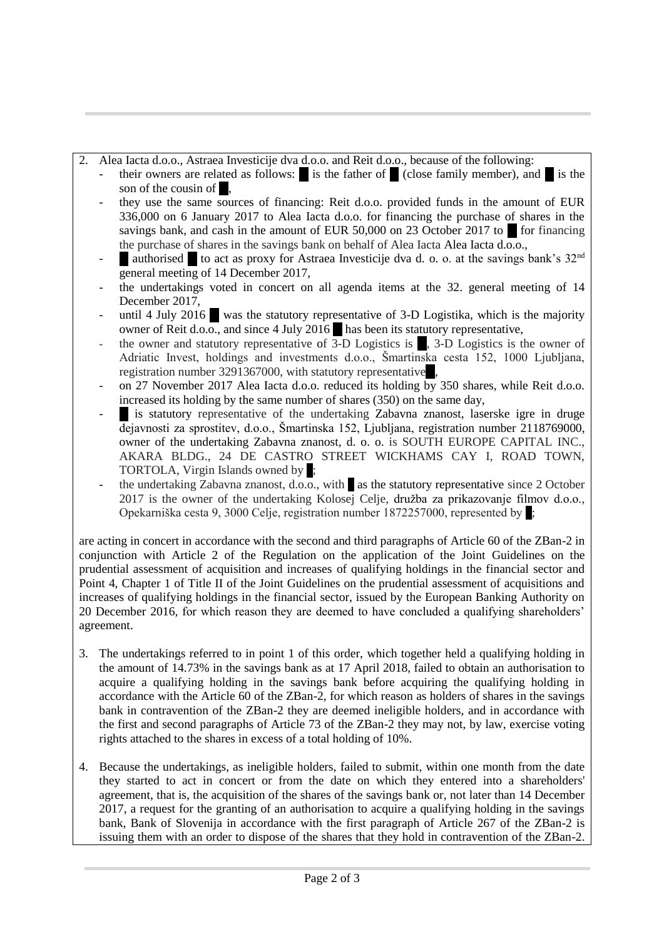## 2. Alea Iacta d.o.o., Astraea Investicije dva d.o.o. and Reit d.o.o., because of the following:

- their owners are related as follows:  $\bullet$  is the father of  $\bullet$  (close family member), and  $\bullet$  is the son of the cousin of  $\blacksquare$ .
- they use the same sources of financing: Reit d.o.o. provided funds in the amount of EUR 336,000 on 6 January 2017 to Alea Iacta d.o.o. for financing the purchase of shares in the savings bank, and cash in the amount of EUR 50,000 on 23 October 2017 to  $\blacksquare$  for financing the purchase of shares in the savings bank on behalf of Alea Iacta Alea Iacta d.o.o.,
- authorised to act as proxy for Astraea Investicije dva d. o. o. at the savings bank's 32<sup>nd</sup> general meeting of 14 December 2017,
- the undertakings voted in concert on all agenda items at the 32. general meeting of 14 December 2017,
- until 4 July 2016 ... was the statutory representative of 3-D Logistika, which is the majority owner of Reit d.o.o., and since 4 July 2016  $\blacksquare$  has been its statutory representative,
- the owner and statutory representative of 3-D Logistics is  $\blacksquare$ , 3-D Logistics is the owner of Adriatic Invest, holdings and investments d.o.o., Šmartinska cesta 152, 1000 Ljubljana, registration number 3291367000, with statutory representative.
- on 27 November 2017 Alea Iacta d.o.o. reduced its holding by 350 shares, while Reit d.o.o. increased its holding by the same number of shares (350) on the same day,
- is statutory representative of the undertaking Zabavna znanost, laserske igre in druge dejavnosti za sprostitev, d.o.o., Šmartinska 152, Ljubljana, registration number 2118769000, owner of the undertaking Zabavna znanost, d. o. o. is SOUTH EUROPE CAPITAL INC., AKARA BLDG., 24 DE CASTRO STREET WICKHAMS CAY I, ROAD TOWN, TORTOLA, Virgin Islands owned by:
- the undertaking Zabavna znanost, d.o.o., with  $\blacksquare$  as the statutory representative since 2 October 2017 is the owner of the undertaking Kolosej Celje, družba za prikazovanje filmov d.o.o., Opekarniška cesta 9, 3000 Celje, registration number 1872257000, represented by ..;

are acting in concert in accordance with the second and third paragraphs of Article 60 of the ZBan-2 in conjunction with Article 2 of the Regulation on the application of the Joint Guidelines on the prudential assessment of acquisition and increases of qualifying holdings in the financial sector and Point 4, Chapter 1 of Title II of the Joint Guidelines on the prudential assessment of acquisitions and increases of qualifying holdings in the financial sector, issued by the European Banking Authority on 20 December 2016, for which reason they are deemed to have concluded a qualifying shareholders' agreement.

- 3. The undertakings referred to in point 1 of this order, which together held a qualifying holding in the amount of 14.73% in the savings bank as at 17 April 2018, failed to obtain an authorisation to acquire a qualifying holding in the savings bank before acquiring the qualifying holding in accordance with the Article 60 of the ZBan-2, for which reason as holders of shares in the savings bank in contravention of the ZBan-2 they are deemed ineligible holders, and in accordance with the first and second paragraphs of Article 73 of the ZBan-2 they may not, by law, exercise voting rights attached to the shares in excess of a total holding of 10%.
- 4. Because the undertakings, as ineligible holders, failed to submit, within one month from the date they started to act in concert or from the date on which they entered into a shareholders' agreement, that is, the acquisition of the shares of the savings bank or, not later than 14 December 2017, a request for the granting of an authorisation to acquire a qualifying holding in the savings bank, Bank of Slovenija in accordance with the first paragraph of Article 267 of the ZBan-2 is issuing them with an order to dispose of the shares that they hold in contravention of the ZBan-2.